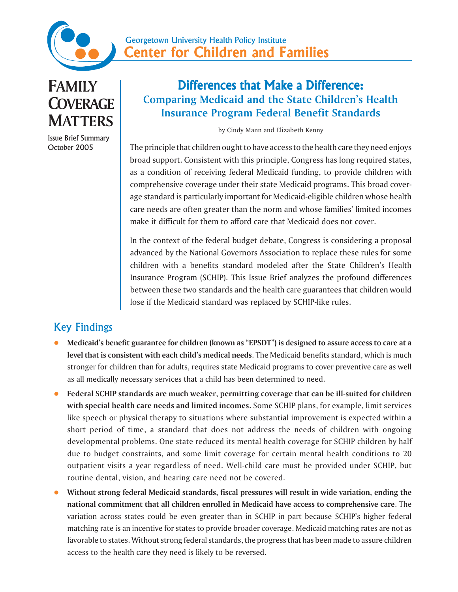

**FAMILY COVERAGE MATTERS**

Issue Brief Summary October 2005

## Differences that Make a Difference: **Comparing Medicaid and the State Children's Health Insurance Program Federal Benefit Standards**

by Cindy Mann and Elizabeth Kenny

The principle that children ought to have access to the health care they need enjoys broad support. Consistent with this principle, Congress has long required states, as a condition of receiving federal Medicaid funding, to provide children with comprehensive coverage under their state Medicaid programs. This broad coverage standard is particularly important for Medicaid-eligible children whose health care needs are often greater than the norm and whose families' limited incomes make it difficult for them to afford care that Medicaid does not cover.

In the context of the federal budget debate, Congress is considering a proposal advanced by the National Governors Association to replace these rules for some children with a benefits standard modeled after the State Children's Health Insurance Program (SCHIP). This Issue Brief analyzes the profound differences between these two standards and the health care guarantees that children would lose if the Medicaid standard was replaced by SCHIP-like rules.

## Key Findings

- z **Medicaid's benefit guarantee for children (known as "EPSDT") is designed to assure access to care at a level that is consistent with each child's medical needs**. The Medicaid benefits standard, which is much stronger for children than for adults, requires state Medicaid programs to cover preventive care as well as all medically necessary services that a child has been determined to need.
- z **Federal SCHIP standards are much weaker, permitting coverage that can be ill-suited for children with special health care needs and limited incomes.** Some SCHIP plans, for example, limit services like speech or physical therapy to situations where substantial improvement is expected within a short period of time, a standard that does not address the needs of children with ongoing developmental problems. One state reduced its mental health coverage for SCHIP children by half due to budget constraints, and some limit coverage for certain mental health conditions to 20 outpatient visits a year regardless of need. Well-child care must be provided under SCHIP, but routine dental, vision, and hearing care need not be covered.
- Without strong federal Medicaid standards, fiscal pressures will result in wide variation, ending the **national commitment that all children enrolled in Medicaid have access to comprehensive care**. The variation across states could be even greater than in SCHIP in part because SCHIP's higher federal matching rate is an incentive for states to provide broader coverage. Medicaid matching rates are not as favorable to states. Without strong federal standards, the progress that has been made to assure children access to the health care they need is likely to be reversed.